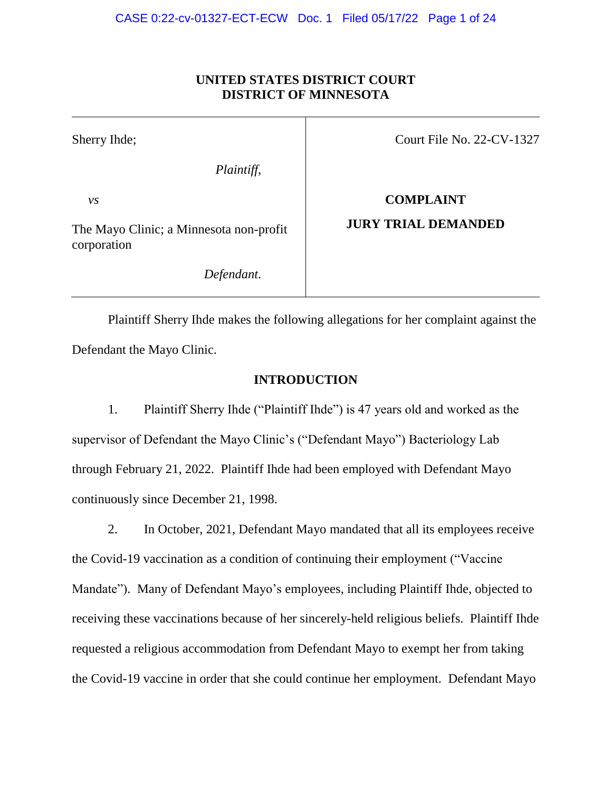## **UNITED STATES DISTRICT COURT DISTRICT OF MINNESOTA**

| Sherry Ihde;                                           | Court File No. $22$ -CV-1327 |
|--------------------------------------------------------|------------------------------|
| Plaintiff,                                             |                              |
| $\nu s$                                                | <b>COMPLAINT</b>             |
| The Mayo Clinic; a Minnesota non-profit<br>corporation | <b>JURY TRIAL DEMANDED</b>   |
| Defendant.                                             |                              |

Plaintiff Sherry Ihde makes the following allegations for her complaint against the Defendant the Mayo Clinic.

## **INTRODUCTION**

1. Plaintiff Sherry Ihde ("Plaintiff Ihde") is 47 years old and worked as the supervisor of Defendant the Mayo Clinic's ("Defendant Mayo") Bacteriology Lab through February 21, 2022. Plaintiff Ihde had been employed with Defendant Mayo continuously since December 21, 1998.

2. In October, 2021, Defendant Mayo mandated that all its employees receive the Covid-19 vaccination as a condition of continuing their employment ("Vaccine Mandate"). Many of Defendant Mayo's employees, including Plaintiff Ihde, objected to receiving these vaccinations because of her sincerely-held religious beliefs. Plaintiff Ihde requested a religious accommodation from Defendant Mayo to exempt her from taking the Covid-19 vaccine in order that she could continue her employment. Defendant Mayo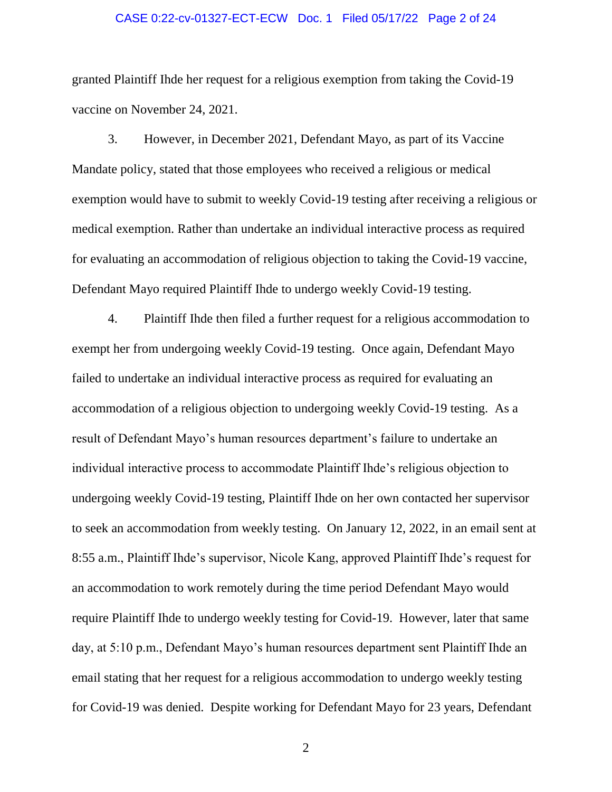### CASE 0:22-cv-01327-ECT-ECW Doc. 1 Filed 05/17/22 Page 2 of 24

granted Plaintiff Ihde her request for a religious exemption from taking the Covid-19 vaccine on November 24, 2021.

3. However, in December 2021, Defendant Mayo, as part of its Vaccine Mandate policy, stated that those employees who received a religious or medical exemption would have to submit to weekly Covid-19 testing after receiving a religious or medical exemption. Rather than undertake an individual interactive process as required for evaluating an accommodation of religious objection to taking the Covid-19 vaccine, Defendant Mayo required Plaintiff Ihde to undergo weekly Covid-19 testing.

4. Plaintiff Ihde then filed a further request for a religious accommodation to exempt her from undergoing weekly Covid-19 testing. Once again, Defendant Mayo failed to undertake an individual interactive process as required for evaluating an accommodation of a religious objection to undergoing weekly Covid-19 testing. As a result of Defendant Mayo's human resources department's failure to undertake an individual interactive process to accommodate Plaintiff Ihde's religious objection to undergoing weekly Covid-19 testing, Plaintiff Ihde on her own contacted her supervisor to seek an accommodation from weekly testing. On January 12, 2022, in an email sent at 8:55 a.m., Plaintiff Ihde's supervisor, Nicole Kang, approved Plaintiff Ihde's request for an accommodation to work remotely during the time period Defendant Mayo would require Plaintiff Ihde to undergo weekly testing for Covid-19. However, later that same day, at 5:10 p.m., Defendant Mayo's human resources department sent Plaintiff Ihde an email stating that her request for a religious accommodation to undergo weekly testing for Covid-19 was denied. Despite working for Defendant Mayo for 23 years, Defendant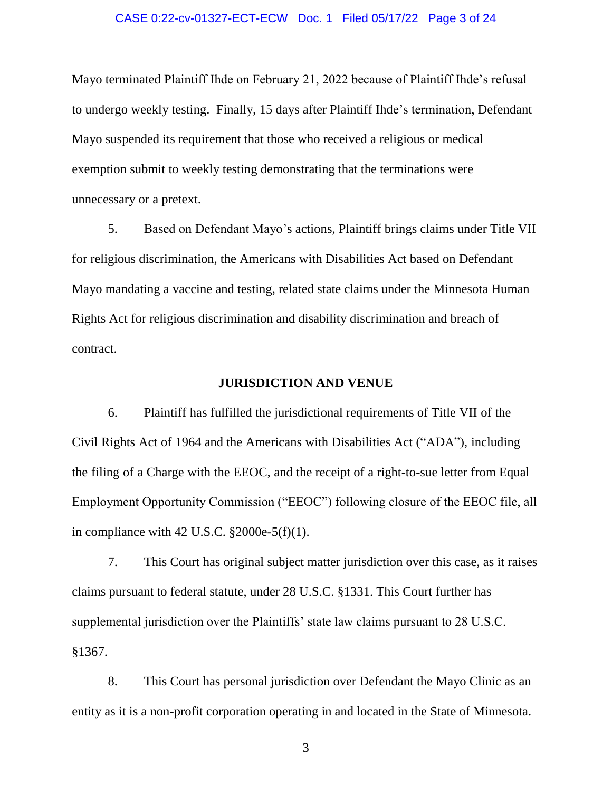### CASE 0:22-cv-01327-ECT-ECW Doc. 1 Filed 05/17/22 Page 3 of 24

Mayo terminated Plaintiff Ihde on February 21, 2022 because of Plaintiff Ihde's refusal to undergo weekly testing. Finally, 15 days after Plaintiff Ihde's termination, Defendant Mayo suspended its requirement that those who received a religious or medical exemption submit to weekly testing demonstrating that the terminations were unnecessary or a pretext.

5. Based on Defendant Mayo's actions, Plaintiff brings claims under Title VII for religious discrimination, the Americans with Disabilities Act based on Defendant Mayo mandating a vaccine and testing, related state claims under the Minnesota Human Rights Act for religious discrimination and disability discrimination and breach of contract.

### **JURISDICTION AND VENUE**

6. Plaintiff has fulfilled the jurisdictional requirements of Title VII of the Civil Rights Act of 1964 and the Americans with Disabilities Act ("ADA"), including the filing of a Charge with the EEOC, and the receipt of a right-to-sue letter from Equal Employment Opportunity Commission ("EEOC") following closure of the EEOC file, all in compliance with 42 U.S.C. §2000e-5(f)(1).

7. This Court has original subject matter jurisdiction over this case, as it raises claims pursuant to federal statute, under 28 U.S.C. §1331. This Court further has supplemental jurisdiction over the Plaintiffs' state law claims pursuant to 28 U.S.C. §1367.

8. This Court has personal jurisdiction over Defendant the Mayo Clinic as an entity as it is a non-profit corporation operating in and located in the State of Minnesota.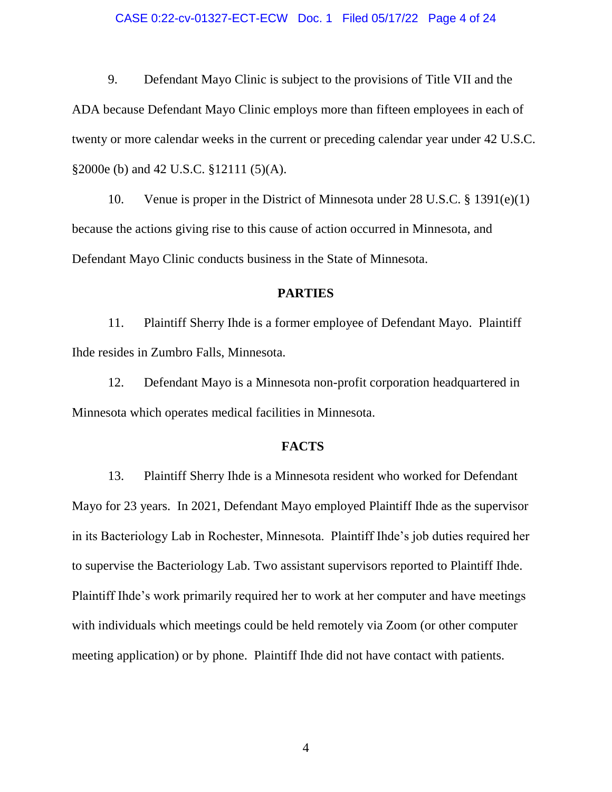### CASE 0:22-cv-01327-ECT-ECW Doc. 1 Filed 05/17/22 Page 4 of 24

9. Defendant Mayo Clinic is subject to the provisions of Title VII and the ADA because Defendant Mayo Clinic employs more than fifteen employees in each of twenty or more calendar weeks in the current or preceding calendar year under 42 U.S.C. §2000e (b) and 42 U.S.C. §12111 (5)(A).

10. Venue is proper in the District of Minnesota under 28 U.S.C. § 1391(e)(1) because the actions giving rise to this cause of action occurred in Minnesota, and Defendant Mayo Clinic conducts business in the State of Minnesota.

### **PARTIES**

11. Plaintiff Sherry Ihde is a former employee of Defendant Mayo. Plaintiff Ihde resides in Zumbro Falls, Minnesota.

12. Defendant Mayo is a Minnesota non-profit corporation headquartered in Minnesota which operates medical facilities in Minnesota.

### **FACTS**

13. Plaintiff Sherry Ihde is a Minnesota resident who worked for Defendant Mayo for 23 years. In 2021, Defendant Mayo employed Plaintiff Ihde as the supervisor in its Bacteriology Lab in Rochester, Minnesota. Plaintiff Ihde's job duties required her to supervise the Bacteriology Lab. Two assistant supervisors reported to Plaintiff Ihde. Plaintiff Ihde's work primarily required her to work at her computer and have meetings with individuals which meetings could be held remotely via Zoom (or other computer meeting application) or by phone. Plaintiff Ihde did not have contact with patients.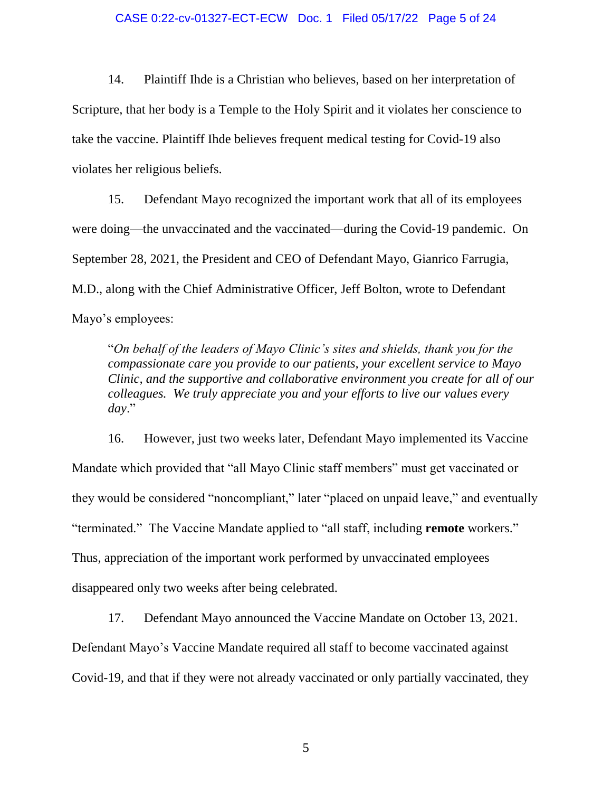### CASE 0:22-cv-01327-ECT-ECW Doc. 1 Filed 05/17/22 Page 5 of 24

14. Plaintiff Ihde is a Christian who believes, based on her interpretation of Scripture, that her body is a Temple to the Holy Spirit and it violates her conscience to take the vaccine. Plaintiff Ihde believes frequent medical testing for Covid-19 also violates her religious beliefs.

15. Defendant Mayo recognized the important work that all of its employees were doing—the unvaccinated and the vaccinated—during the Covid-19 pandemic. On September 28, 2021, the President and CEO of Defendant Mayo, Gianrico Farrugia, M.D., along with the Chief Administrative Officer, Jeff Bolton, wrote to Defendant Mayo's employees:

"*On behalf of the leaders of Mayo Clinic's sites and shields, thank you for the compassionate care you provide to our patients, your excellent service to Mayo Clinic, and the supportive and collaborative environment you create for all of our colleagues. We truly appreciate you and your efforts to live our values every day*."

16. However, just two weeks later, Defendant Mayo implemented its Vaccine Mandate which provided that "all Mayo Clinic staff members" must get vaccinated or they would be considered "noncompliant," later "placed on unpaid leave," and eventually "terminated." The Vaccine Mandate applied to "all staff, including **remote** workers." Thus, appreciation of the important work performed by unvaccinated employees disappeared only two weeks after being celebrated.

17. Defendant Mayo announced the Vaccine Mandate on October 13, 2021. Defendant Mayo's Vaccine Mandate required all staff to become vaccinated against Covid-19, and that if they were not already vaccinated or only partially vaccinated, they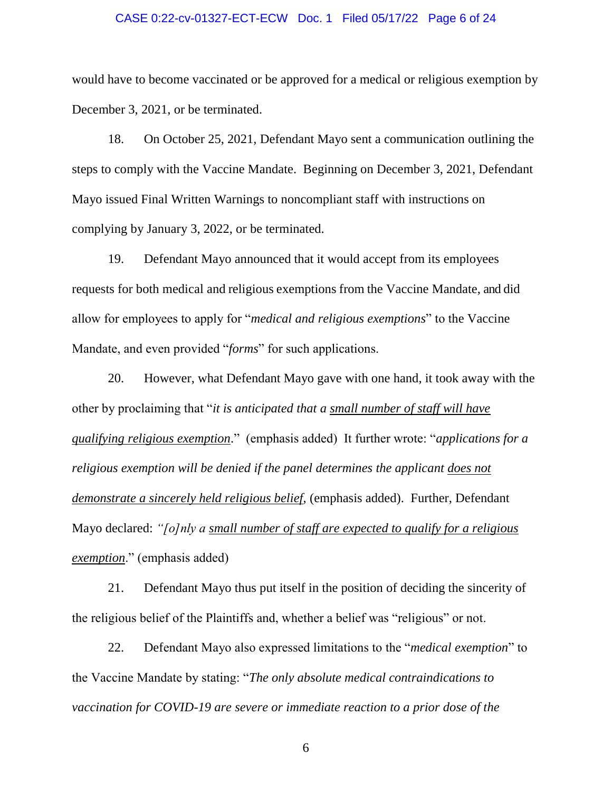### CASE 0:22-cv-01327-ECT-ECW Doc. 1 Filed 05/17/22 Page 6 of 24

would have to become vaccinated or be approved for a medical or religious exemption by December 3, 2021, or be terminated.

18. On October 25, 2021, Defendant Mayo sent a communication outlining the steps to comply with the Vaccine Mandate. Beginning on December 3, 2021, Defendant Mayo issued Final Written Warnings to noncompliant staff with instructions on complying by January 3, 2022, or be terminated.

19. Defendant Mayo announced that it would accept from its employees requests for both medical and religious exemptions from the Vaccine Mandate, and did allow for employees to apply for "*medical and religious exemptions*" to the Vaccine Mandate, and even provided "*forms*" for such applications.

20. However, what Defendant Mayo gave with one hand, it took away with the other by proclaiming that "*it is anticipated that a small number of staff will have qualifying religious exemption*." (emphasis added) It further wrote: "*applications for a religious exemption will be denied if the panel determines the applicant does not demonstrate a sincerely held religious belief*, (emphasis added). Further, Defendant Mayo declared: *"[o]nly a small number of staff are expected to qualify for a religious exemption*." (emphasis added)

21. Defendant Mayo thus put itself in the position of deciding the sincerity of the religious belief of the Plaintiffs and, whether a belief was "religious" or not.

22. Defendant Mayo also expressed limitations to the "*medical exemption*" to the Vaccine Mandate by stating: "*The only absolute medical contraindications to vaccination for COVID-19 are severe or immediate reaction to a prior dose of the*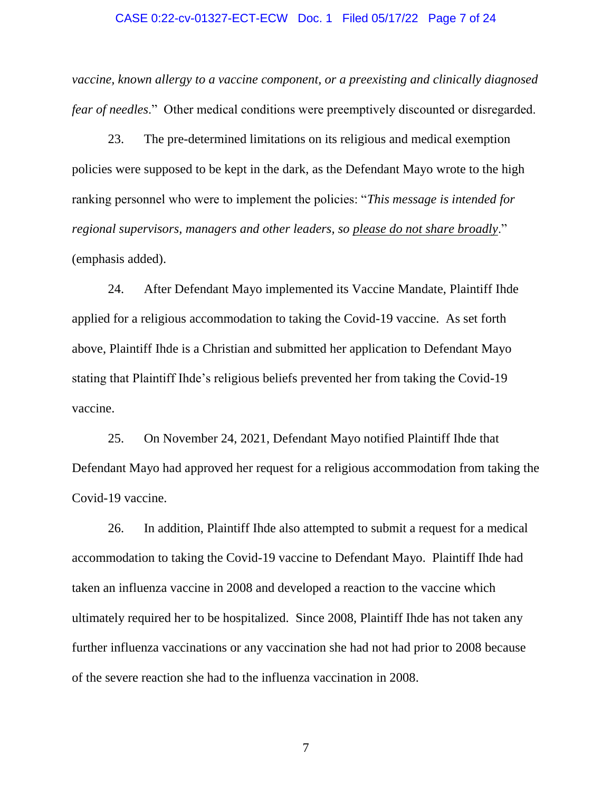### CASE 0:22-cv-01327-ECT-ECW Doc. 1 Filed 05/17/22 Page 7 of 24

*vaccine, known allergy to a vaccine component, or a preexisting and clinically diagnosed fear of needles*." Other medical conditions were preemptively discounted or disregarded.

23. The pre-determined limitations on its religious and medical exemption policies were supposed to be kept in the dark, as the Defendant Mayo wrote to the high ranking personnel who were to implement the policies: "*This message is intended for regional supervisors, managers and other leaders, so please do not share broadly*." (emphasis added).

24. After Defendant Mayo implemented its Vaccine Mandate, Plaintiff Ihde applied for a religious accommodation to taking the Covid-19 vaccine. As set forth above, Plaintiff Ihde is a Christian and submitted her application to Defendant Mayo stating that Plaintiff Ihde's religious beliefs prevented her from taking the Covid-19 vaccine.

25. On November 24, 2021, Defendant Mayo notified Plaintiff Ihde that Defendant Mayo had approved her request for a religious accommodation from taking the Covid-19 vaccine.

26. In addition, Plaintiff Ihde also attempted to submit a request for a medical accommodation to taking the Covid-19 vaccine to Defendant Mayo. Plaintiff Ihde had taken an influenza vaccine in 2008 and developed a reaction to the vaccine which ultimately required her to be hospitalized. Since 2008, Plaintiff Ihde has not taken any further influenza vaccinations or any vaccination she had not had prior to 2008 because of the severe reaction she had to the influenza vaccination in 2008.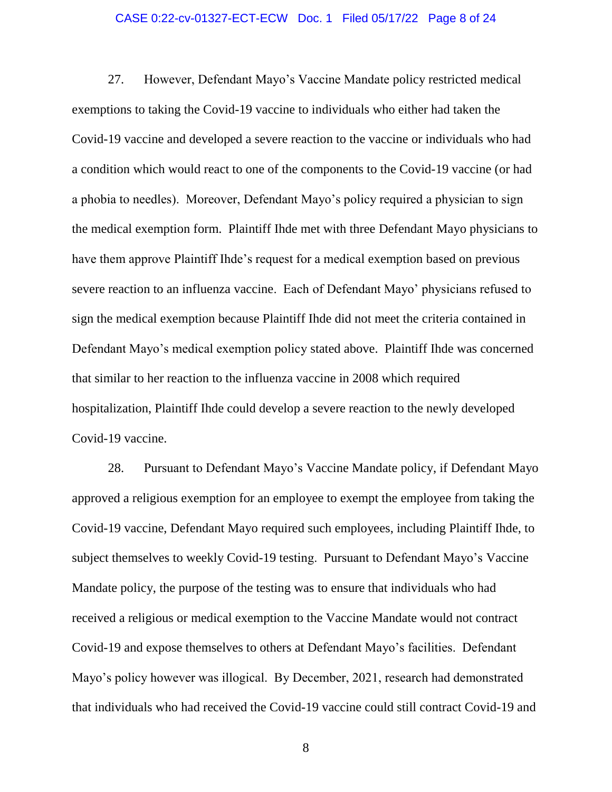### CASE 0:22-cv-01327-ECT-ECW Doc. 1 Filed 05/17/22 Page 8 of 24

27. However, Defendant Mayo's Vaccine Mandate policy restricted medical exemptions to taking the Covid-19 vaccine to individuals who either had taken the Covid-19 vaccine and developed a severe reaction to the vaccine or individuals who had a condition which would react to one of the components to the Covid-19 vaccine (or had a phobia to needles). Moreover, Defendant Mayo's policy required a physician to sign the medical exemption form. Plaintiff Ihde met with three Defendant Mayo physicians to have them approve Plaintiff Ihde's request for a medical exemption based on previous severe reaction to an influenza vaccine. Each of Defendant Mayo' physicians refused to sign the medical exemption because Plaintiff Ihde did not meet the criteria contained in Defendant Mayo's medical exemption policy stated above. Plaintiff Ihde was concerned that similar to her reaction to the influenza vaccine in 2008 which required hospitalization, Plaintiff Ihde could develop a severe reaction to the newly developed Covid-19 vaccine.

28. Pursuant to Defendant Mayo's Vaccine Mandate policy, if Defendant Mayo approved a religious exemption for an employee to exempt the employee from taking the Covid-19 vaccine, Defendant Mayo required such employees, including Plaintiff Ihde, to subject themselves to weekly Covid-19 testing. Pursuant to Defendant Mayo's Vaccine Mandate policy, the purpose of the testing was to ensure that individuals who had received a religious or medical exemption to the Vaccine Mandate would not contract Covid-19 and expose themselves to others at Defendant Mayo's facilities. Defendant Mayo's policy however was illogical. By December, 2021, research had demonstrated that individuals who had received the Covid-19 vaccine could still contract Covid-19 and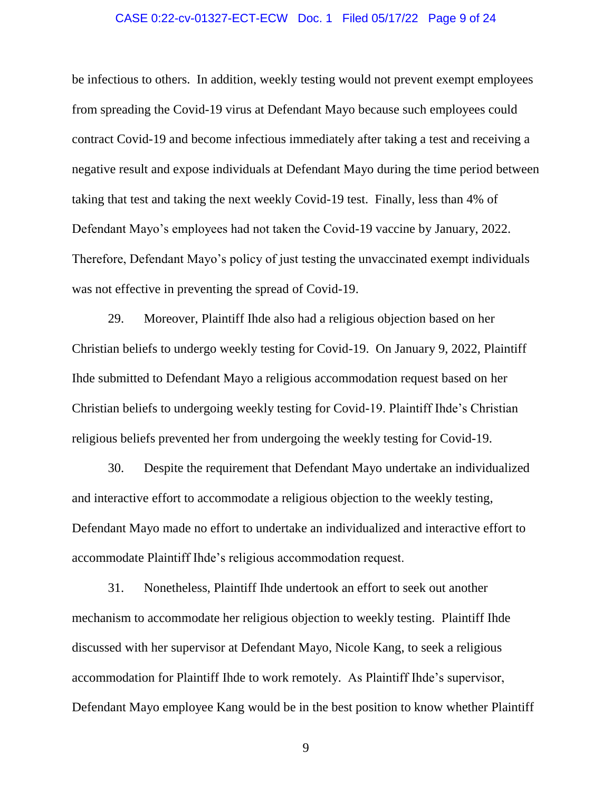### CASE 0:22-cv-01327-ECT-ECW Doc. 1 Filed 05/17/22 Page 9 of 24

be infectious to others. In addition, weekly testing would not prevent exempt employees from spreading the Covid-19 virus at Defendant Mayo because such employees could contract Covid-19 and become infectious immediately after taking a test and receiving a negative result and expose individuals at Defendant Mayo during the time period between taking that test and taking the next weekly Covid-19 test. Finally, less than 4% of Defendant Mayo's employees had not taken the Covid-19 vaccine by January, 2022. Therefore, Defendant Mayo's policy of just testing the unvaccinated exempt individuals was not effective in preventing the spread of Covid-19.

29. Moreover, Plaintiff Ihde also had a religious objection based on her Christian beliefs to undergo weekly testing for Covid-19. On January 9, 2022, Plaintiff Ihde submitted to Defendant Mayo a religious accommodation request based on her Christian beliefs to undergoing weekly testing for Covid-19. Plaintiff Ihde's Christian religious beliefs prevented her from undergoing the weekly testing for Covid-19.

30. Despite the requirement that Defendant Mayo undertake an individualized and interactive effort to accommodate a religious objection to the weekly testing, Defendant Mayo made no effort to undertake an individualized and interactive effort to accommodate Plaintiff Ihde's religious accommodation request.

31. Nonetheless, Plaintiff Ihde undertook an effort to seek out another mechanism to accommodate her religious objection to weekly testing. Plaintiff Ihde discussed with her supervisor at Defendant Mayo, Nicole Kang, to seek a religious accommodation for Plaintiff Ihde to work remotely. As Plaintiff Ihde's supervisor, Defendant Mayo employee Kang would be in the best position to know whether Plaintiff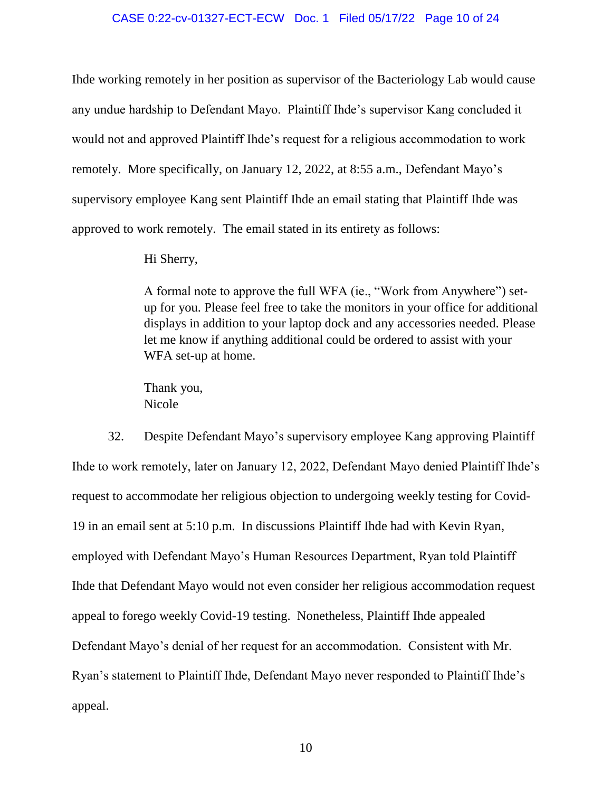### CASE 0:22-cv-01327-ECT-ECW Doc. 1 Filed 05/17/22 Page 10 of 24

Ihde working remotely in her position as supervisor of the Bacteriology Lab would cause any undue hardship to Defendant Mayo. Plaintiff Ihde's supervisor Kang concluded it would not and approved Plaintiff Ihde's request for a religious accommodation to work remotely. More specifically, on January 12, 2022, at 8:55 a.m., Defendant Mayo's supervisory employee Kang sent Plaintiff Ihde an email stating that Plaintiff Ihde was approved to work remotely. The email stated in its entirety as follows:

Hi Sherry,

A formal note to approve the full WFA (ie., "Work from Anywhere") setup for you. Please feel free to take the monitors in your office for additional displays in addition to your laptop dock and any accessories needed. Please let me know if anything additional could be ordered to assist with your WFA set-up at home.

Thank you, Nicole

32. Despite Defendant Mayo's supervisory employee Kang approving Plaintiff Ihde to work remotely, later on January 12, 2022, Defendant Mayo denied Plaintiff Ihde's request to accommodate her religious objection to undergoing weekly testing for Covid-19 in an email sent at 5:10 p.m. In discussions Plaintiff Ihde had with Kevin Ryan, employed with Defendant Mayo's Human Resources Department, Ryan told Plaintiff Ihde that Defendant Mayo would not even consider her religious accommodation request appeal to forego weekly Covid-19 testing. Nonetheless, Plaintiff Ihde appealed Defendant Mayo's denial of her request for an accommodation. Consistent with Mr. Ryan's statement to Plaintiff Ihde, Defendant Mayo never responded to Plaintiff Ihde's appeal.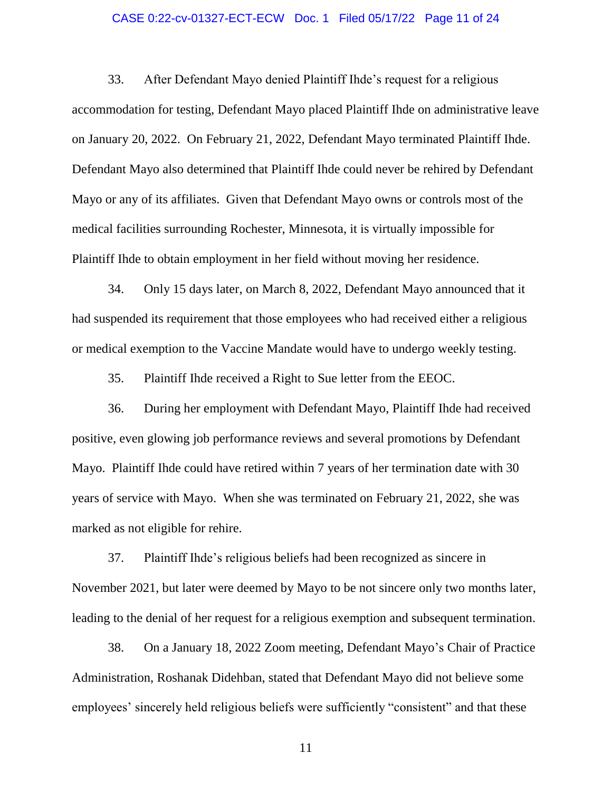### CASE 0:22-cv-01327-ECT-ECW Doc. 1 Filed 05/17/22 Page 11 of 24

33. After Defendant Mayo denied Plaintiff Ihde's request for a religious accommodation for testing, Defendant Mayo placed Plaintiff Ihde on administrative leave on January 20, 2022. On February 21, 2022, Defendant Mayo terminated Plaintiff Ihde. Defendant Mayo also determined that Plaintiff Ihde could never be rehired by Defendant Mayo or any of its affiliates. Given that Defendant Mayo owns or controls most of the medical facilities surrounding Rochester, Minnesota, it is virtually impossible for Plaintiff Ihde to obtain employment in her field without moving her residence.

34. Only 15 days later, on March 8, 2022, Defendant Mayo announced that it had suspended its requirement that those employees who had received either a religious or medical exemption to the Vaccine Mandate would have to undergo weekly testing.

35. Plaintiff Ihde received a Right to Sue letter from the EEOC.

36. During her employment with Defendant Mayo, Plaintiff Ihde had received positive, even glowing job performance reviews and several promotions by Defendant Mayo. Plaintiff Ihde could have retired within 7 years of her termination date with 30 years of service with Mayo. When she was terminated on February 21, 2022, she was marked as not eligible for rehire.

37. Plaintiff Ihde's religious beliefs had been recognized as sincere in November 2021, but later were deemed by Mayo to be not sincere only two months later, leading to the denial of her request for a religious exemption and subsequent termination.

38. On a January 18, 2022 Zoom meeting, Defendant Mayo's Chair of Practice Administration, Roshanak Didehban, stated that Defendant Mayo did not believe some employees' sincerely held religious beliefs were sufficiently "consistent" and that these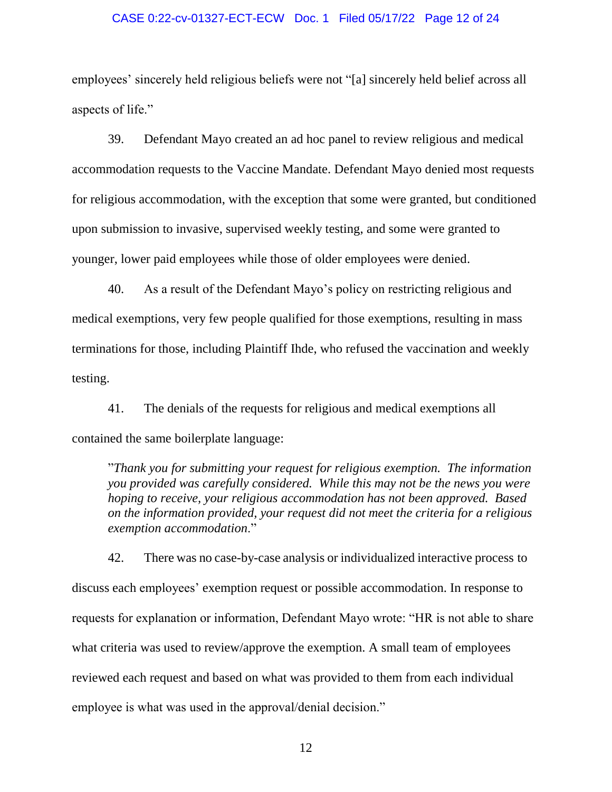### CASE 0:22-cv-01327-ECT-ECW Doc. 1 Filed 05/17/22 Page 12 of 24

employees' sincerely held religious beliefs were not "[a] sincerely held belief across all aspects of life."

39. Defendant Mayo created an ad hoc panel to review religious and medical accommodation requests to the Vaccine Mandate. Defendant Mayo denied most requests for religious accommodation, with the exception that some were granted, but conditioned upon submission to invasive, supervised weekly testing, and some were granted to younger, lower paid employees while those of older employees were denied.

40. As a result of the Defendant Mayo's policy on restricting religious and medical exemptions, very few people qualified for those exemptions, resulting in mass terminations for those, including Plaintiff Ihde, who refused the vaccination and weekly testing.

41. The denials of the requests for religious and medical exemptions all contained the same boilerplate language:

"*Thank you for submitting your request for religious exemption. The information you provided was carefully considered. While this may not be the news you were hoping to receive, your religious accommodation has not been approved. Based on the information provided, your request did not meet the criteria for a religious exemption accommodation*."

42. There was no case-by-case analysis or individualized interactive process to discuss each employees' exemption request or possible accommodation. In response to requests for explanation or information, Defendant Mayo wrote: "HR is not able to share what criteria was used to review/approve the exemption. A small team of employees reviewed each request and based on what was provided to them from each individual employee is what was used in the approval/denial decision."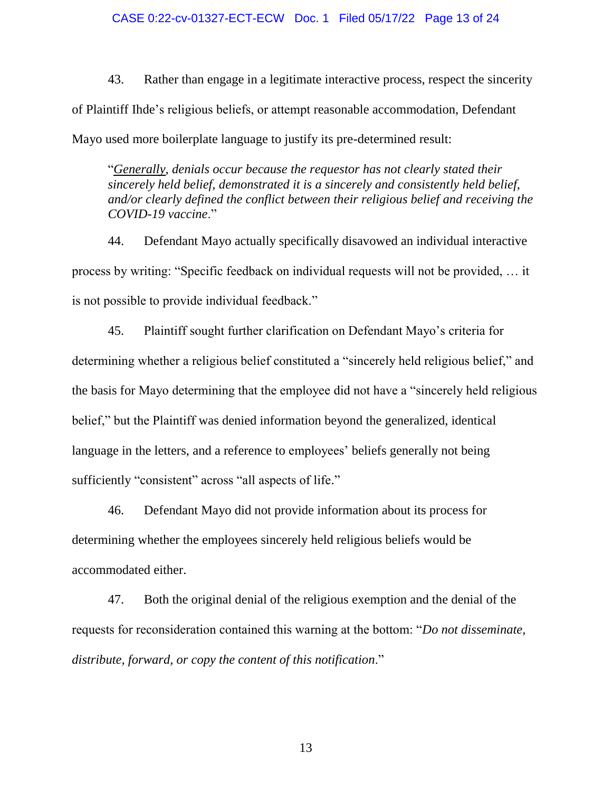43. Rather than engage in a legitimate interactive process, respect the sincerity of Plaintiff Ihde's religious beliefs, or attempt reasonable accommodation, Defendant Mayo used more boilerplate language to justify its pre-determined result:

"*Generally, denials occur because the requestor has not clearly stated their sincerely held belief, demonstrated it is a sincerely and consistently held belief, and/or clearly defined the conflict between their religious belief and receiving the COVID-19 vaccine*."

44. Defendant Mayo actually specifically disavowed an individual interactive process by writing: "Specific feedback on individual requests will not be provided, … it is not possible to provide individual feedback."

45. Plaintiff sought further clarification on Defendant Mayo's criteria for determining whether a religious belief constituted a "sincerely held religious belief," and the basis for Mayo determining that the employee did not have a "sincerely held religious belief," but the Plaintiff was denied information beyond the generalized, identical language in the letters, and a reference to employees' beliefs generally not being sufficiently "consistent" across "all aspects of life."

46. Defendant Mayo did not provide information about its process for determining whether the employees sincerely held religious beliefs would be accommodated either.

47. Both the original denial of the religious exemption and the denial of the requests for reconsideration contained this warning at the bottom: "*Do not disseminate, distribute, forward, or copy the content of this notification*."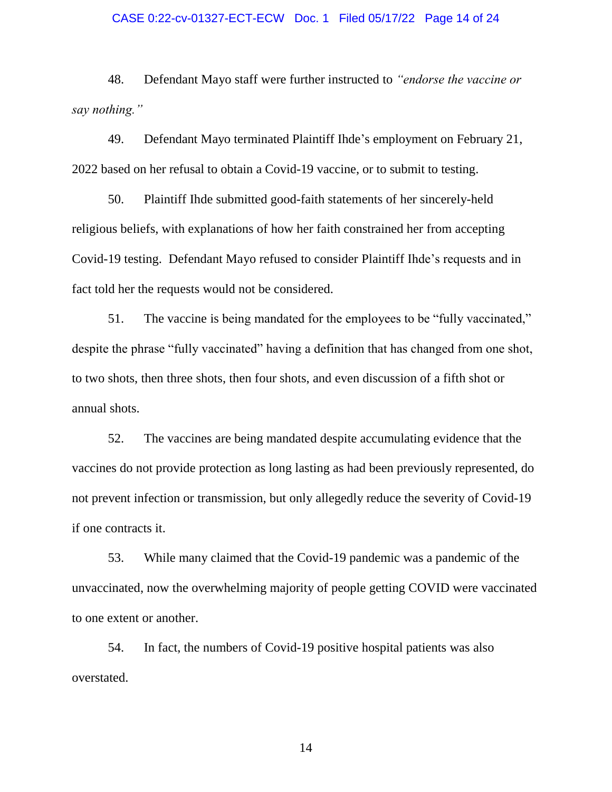#### CASE 0:22-cv-01327-ECT-ECW Doc. 1 Filed 05/17/22 Page 14 of 24

48. Defendant Mayo staff were further instructed to *"endorse the vaccine or say nothing."*

49. Defendant Mayo terminated Plaintiff Ihde's employment on February 21, 2022 based on her refusal to obtain a Covid-19 vaccine, or to submit to testing.

50. Plaintiff Ihde submitted good-faith statements of her sincerely-held religious beliefs, with explanations of how her faith constrained her from accepting Covid-19 testing. Defendant Mayo refused to consider Plaintiff Ihde's requests and in fact told her the requests would not be considered.

51. The vaccine is being mandated for the employees to be "fully vaccinated," despite the phrase "fully vaccinated" having a definition that has changed from one shot, to two shots, then three shots, then four shots, and even discussion of a fifth shot or annual shots.

52. The vaccines are being mandated despite accumulating evidence that the vaccines do not provide protection as long lasting as had been previously represented, do not prevent infection or transmission, but only allegedly reduce the severity of Covid-19 if one contracts it.

53. While many claimed that the Covid-19 pandemic was a pandemic of the unvaccinated, now the overwhelming majority of people getting COVID were vaccinated to one extent or another.

54. In fact, the numbers of Covid-19 positive hospital patients was also overstated.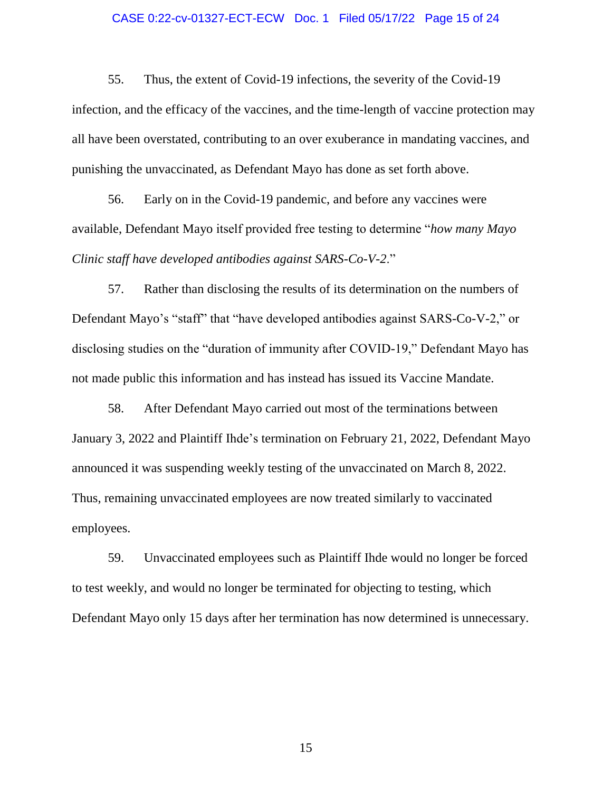### CASE 0:22-cv-01327-ECT-ECW Doc. 1 Filed 05/17/22 Page 15 of 24

55. Thus, the extent of Covid-19 infections, the severity of the Covid-19 infection, and the efficacy of the vaccines, and the time-length of vaccine protection may all have been overstated, contributing to an over exuberance in mandating vaccines, and punishing the unvaccinated, as Defendant Mayo has done as set forth above.

56. Early on in the Covid-19 pandemic, and before any vaccines were available, Defendant Mayo itself provided free testing to determine "*how many Mayo Clinic staff have developed antibodies against SARS-Co-V-2*."

57. Rather than disclosing the results of its determination on the numbers of Defendant Mayo's "staff" that "have developed antibodies against SARS-Co-V-2," or disclosing studies on the "duration of immunity after COVID-19," Defendant Mayo has not made public this information and has instead has issued its Vaccine Mandate.

58. After Defendant Mayo carried out most of the terminations between January 3, 2022 and Plaintiff Ihde's termination on February 21, 2022, Defendant Mayo announced it was suspending weekly testing of the unvaccinated on March 8, 2022. Thus, remaining unvaccinated employees are now treated similarly to vaccinated employees.

59. Unvaccinated employees such as Plaintiff Ihde would no longer be forced to test weekly, and would no longer be terminated for objecting to testing, which Defendant Mayo only 15 days after her termination has now determined is unnecessary.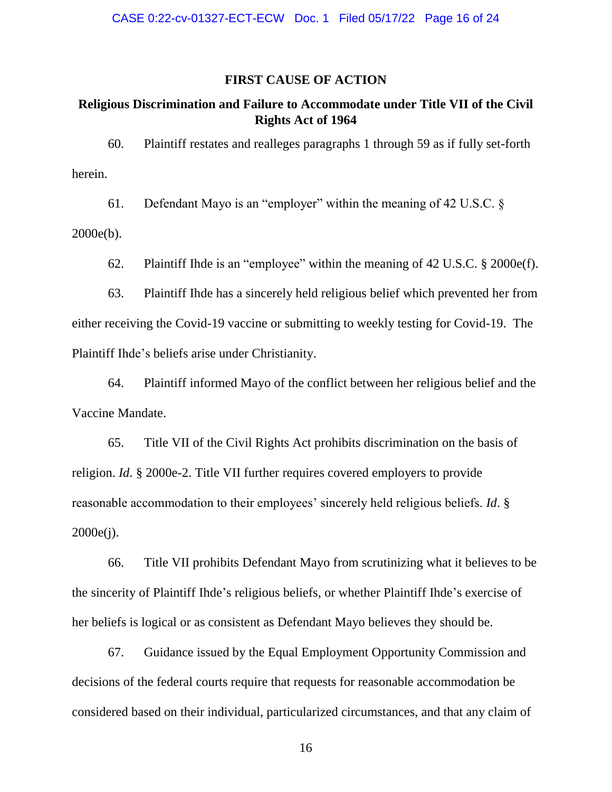### **FIRST CAUSE OF ACTION**

## **Religious Discrimination and Failure to Accommodate under Title VII of the Civil Rights Act of 1964**

60. Plaintiff restates and realleges paragraphs 1 through 59 as if fully set-forth herein.

61. Defendant Mayo is an "employer" within the meaning of 42 U.S.C. §

2000e(b).

62. Plaintiff Ihde is an "employee" within the meaning of 42 U.S.C. § 2000e(f).

63. Plaintiff Ihde has a sincerely held religious belief which prevented her from either receiving the Covid-19 vaccine or submitting to weekly testing for Covid-19. The Plaintiff Ihde's beliefs arise under Christianity.

64. Plaintiff informed Mayo of the conflict between her religious belief and the Vaccine Mandate.

65. Title VII of the Civil Rights Act prohibits discrimination on the basis of religion. *Id*. § 2000e-2. Title VII further requires covered employers to provide reasonable accommodation to their employees' sincerely held religious beliefs. *Id*. § 2000e(j).

66. Title VII prohibits Defendant Mayo from scrutinizing what it believes to be the sincerity of Plaintiff Ihde's religious beliefs, or whether Plaintiff Ihde's exercise of her beliefs is logical or as consistent as Defendant Mayo believes they should be.

67. Guidance issued by the Equal Employment Opportunity Commission and decisions of the federal courts require that requests for reasonable accommodation be considered based on their individual, particularized circumstances, and that any claim of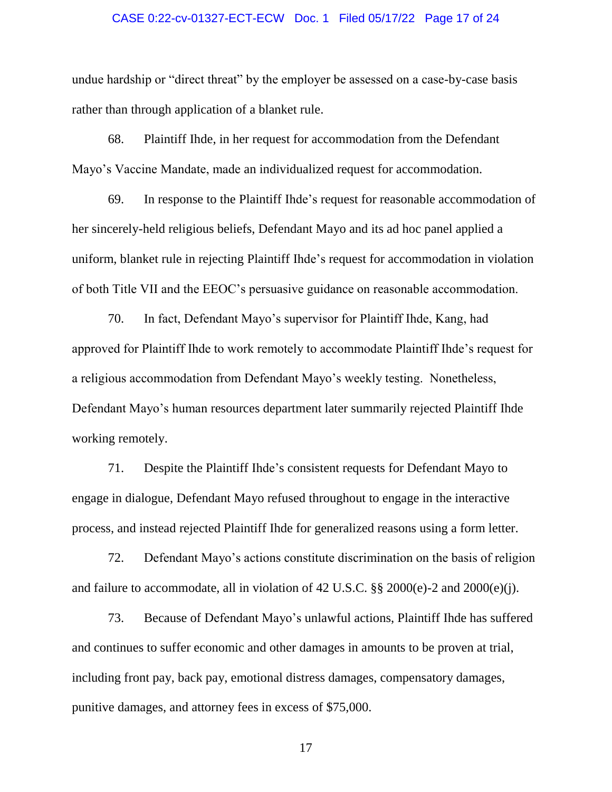### CASE 0:22-cv-01327-ECT-ECW Doc. 1 Filed 05/17/22 Page 17 of 24

undue hardship or "direct threat" by the employer be assessed on a case-by-case basis rather than through application of a blanket rule.

68. Plaintiff Ihde, in her request for accommodation from the Defendant Mayo's Vaccine Mandate, made an individualized request for accommodation.

69. In response to the Plaintiff Ihde's request for reasonable accommodation of her sincerely-held religious beliefs, Defendant Mayo and its ad hoc panel applied a uniform, blanket rule in rejecting Plaintiff Ihde's request for accommodation in violation of both Title VII and the EEOC's persuasive guidance on reasonable accommodation.

70. In fact, Defendant Mayo's supervisor for Plaintiff Ihde, Kang, had approved for Plaintiff Ihde to work remotely to accommodate Plaintiff Ihde's request for a religious accommodation from Defendant Mayo's weekly testing. Nonetheless, Defendant Mayo's human resources department later summarily rejected Plaintiff Ihde working remotely.

71. Despite the Plaintiff Ihde's consistent requests for Defendant Mayo to engage in dialogue, Defendant Mayo refused throughout to engage in the interactive process, and instead rejected Plaintiff Ihde for generalized reasons using a form letter.

72. Defendant Mayo's actions constitute discrimination on the basis of religion and failure to accommodate, all in violation of 42 U.S.C. §§ 2000(e)-2 and 2000(e)(j).

73. Because of Defendant Mayo's unlawful actions, Plaintiff Ihde has suffered and continues to suffer economic and other damages in amounts to be proven at trial, including front pay, back pay, emotional distress damages, compensatory damages, punitive damages, and attorney fees in excess of \$75,000.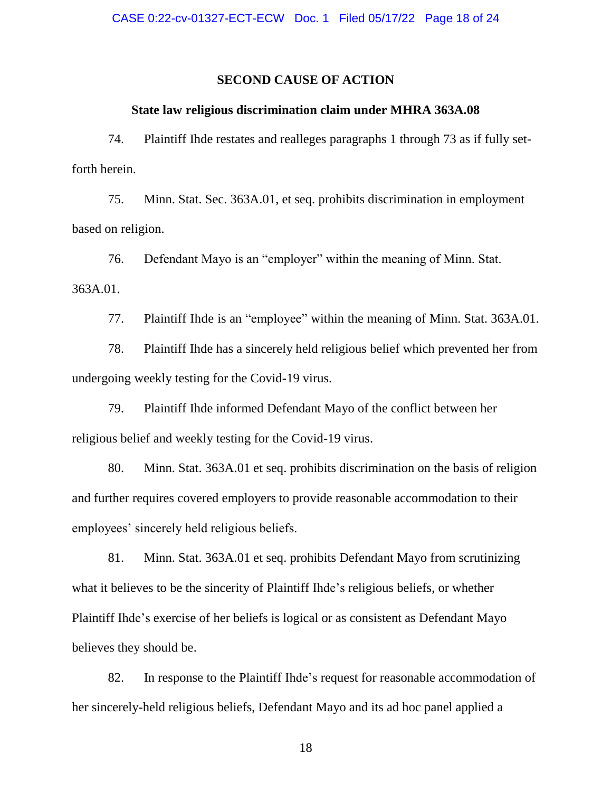### **SECOND CAUSE OF ACTION**

### **State law religious discrimination claim under MHRA 363A.08**

74. Plaintiff Ihde restates and realleges paragraphs 1 through 73 as if fully setforth herein.

75. Minn. Stat. Sec. 363A.01, et seq. prohibits discrimination in employment based on religion.

76. Defendant Mayo is an "employer" within the meaning of Minn. Stat. 363A.01.

77. Plaintiff Ihde is an "employee" within the meaning of Minn. Stat. 363A.01.

78. Plaintiff Ihde has a sincerely held religious belief which prevented her from undergoing weekly testing for the Covid-19 virus.

79. Plaintiff Ihde informed Defendant Mayo of the conflict between her religious belief and weekly testing for the Covid-19 virus.

80. Minn. Stat. 363A.01 et seq. prohibits discrimination on the basis of religion and further requires covered employers to provide reasonable accommodation to their employees' sincerely held religious beliefs.

81. Minn. Stat. 363A.01 et seq. prohibits Defendant Mayo from scrutinizing what it believes to be the sincerity of Plaintiff Ihde's religious beliefs, or whether Plaintiff Ihde's exercise of her beliefs is logical or as consistent as Defendant Mayo believes they should be.

82. In response to the Plaintiff Ihde's request for reasonable accommodation of her sincerely-held religious beliefs, Defendant Mayo and its ad hoc panel applied a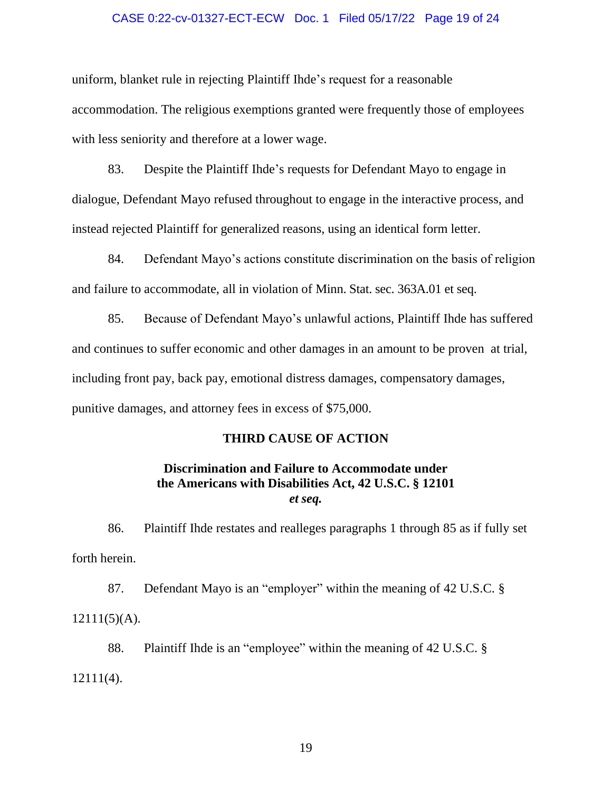### CASE 0:22-cv-01327-ECT-ECW Doc. 1 Filed 05/17/22 Page 19 of 24

uniform, blanket rule in rejecting Plaintiff Ihde's request for a reasonable accommodation. The religious exemptions granted were frequently those of employees with less seniority and therefore at a lower wage.

83. Despite the Plaintiff Ihde's requests for Defendant Mayo to engage in dialogue, Defendant Mayo refused throughout to engage in the interactive process, and instead rejected Plaintiff for generalized reasons, using an identical form letter.

84. Defendant Mayo's actions constitute discrimination on the basis of religion and failure to accommodate, all in violation of Minn. Stat. sec. 363A.01 et seq.

85. Because of Defendant Mayo's unlawful actions, Plaintiff Ihde has suffered and continues to suffer economic and other damages in an amount to be proven at trial, including front pay, back pay, emotional distress damages, compensatory damages, punitive damages, and attorney fees in excess of \$75,000.

### **THIRD CAUSE OF ACTION**

## **Discrimination and Failure to Accommodate under the Americans with Disabilities Act, 42 U.S.C. § 12101** *et seq.*

86. Plaintiff Ihde restates and realleges paragraphs 1 through 85 as if fully set forth herein.

87. Defendant Mayo is an "employer" within the meaning of 42 U.S.C. §  $12111(5)$ (A).

88. Plaintiff Ihde is an "employee" within the meaning of 42 U.S.C. § 12111(4).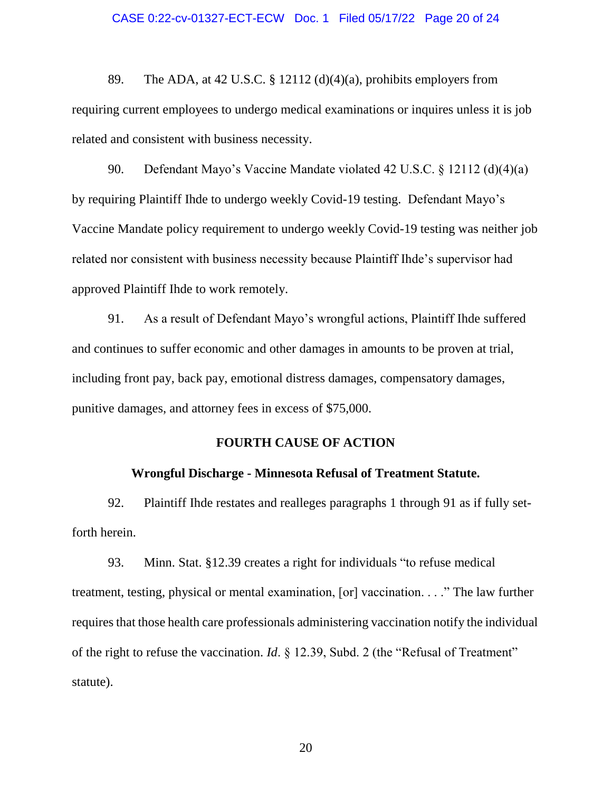### CASE 0:22-cv-01327-ECT-ECW Doc. 1 Filed 05/17/22 Page 20 of 24

89. The ADA, at 42 U.S.C. § 12112 (d)(4)(a), prohibits employers from requiring current employees to undergo medical examinations or inquires unless it is job related and consistent with business necessity.

90. Defendant Mayo's Vaccine Mandate violated 42 U.S.C. § 12112 (d)(4)(a) by requiring Plaintiff Ihde to undergo weekly Covid-19 testing. Defendant Mayo's Vaccine Mandate policy requirement to undergo weekly Covid-19 testing was neither job related nor consistent with business necessity because Plaintiff Ihde's supervisor had approved Plaintiff Ihde to work remotely.

91. As a result of Defendant Mayo's wrongful actions, Plaintiff Ihde suffered and continues to suffer economic and other damages in amounts to be proven at trial, including front pay, back pay, emotional distress damages, compensatory damages, punitive damages, and attorney fees in excess of \$75,000.

# **FOURTH CAUSE OF ACTION**

### **Wrongful Discharge - Minnesota Refusal of Treatment Statute.**

92. Plaintiff Ihde restates and realleges paragraphs 1 through 91 as if fully setforth herein.

93. Minn. Stat. §12.39 creates a right for individuals "to refuse medical treatment, testing, physical or mental examination, [or] vaccination. . . ." The law further requires that those health care professionals administering vaccination notify the individual of the right to refuse the vaccination. *Id*. § 12.39, Subd. 2 (the "Refusal of Treatment" statute).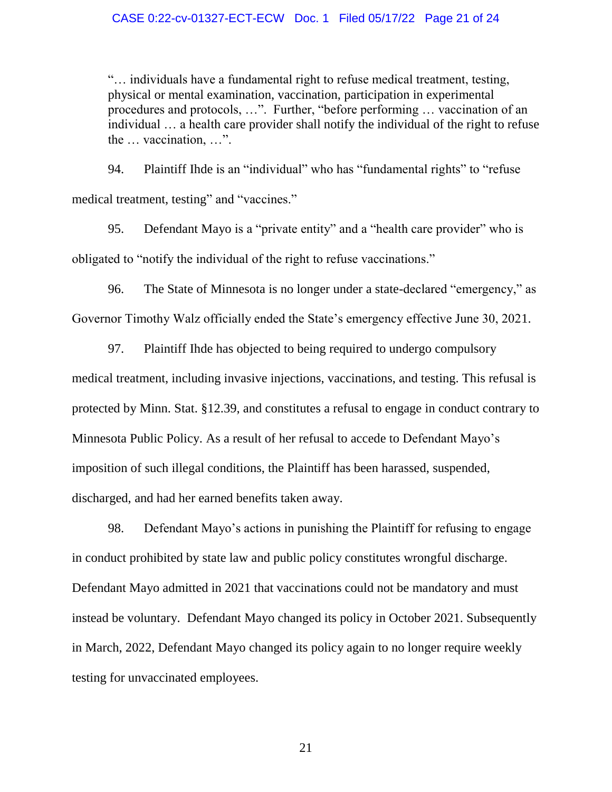### CASE 0:22-cv-01327-ECT-ECW Doc. 1 Filed 05/17/22 Page 21 of 24

"… individuals have a fundamental right to refuse medical treatment, testing, physical or mental examination, vaccination, participation in experimental procedures and protocols, …". Further, "before performing … vaccination of an individual … a health care provider shall notify the individual of the right to refuse the … vaccination, …".

94. Plaintiff Ihde is an "individual" who has "fundamental rights" to "refuse medical treatment, testing" and "vaccines."

95. Defendant Mayo is a "private entity" and a "health care provider" who is obligated to "notify the individual of the right to refuse vaccinations."

96. The State of Minnesota is no longer under a state-declared "emergency," as Governor Timothy Walz officially ended the State's emergency effective June 30, 2021.

97. Plaintiff Ihde has objected to being required to undergo compulsory medical treatment, including invasive injections, vaccinations, and testing. This refusal is protected by Minn. Stat. §12.39, and constitutes a refusal to engage in conduct contrary to Minnesota Public Policy. As a result of her refusal to accede to Defendant Mayo's imposition of such illegal conditions, the Plaintiff has been harassed, suspended, discharged, and had her earned benefits taken away.

98. Defendant Mayo's actions in punishing the Plaintiff for refusing to engage in conduct prohibited by state law and public policy constitutes wrongful discharge. Defendant Mayo admitted in 2021 that vaccinations could not be mandatory and must instead be voluntary. Defendant Mayo changed its policy in October 2021. Subsequently in March, 2022, Defendant Mayo changed its policy again to no longer require weekly testing for unvaccinated employees.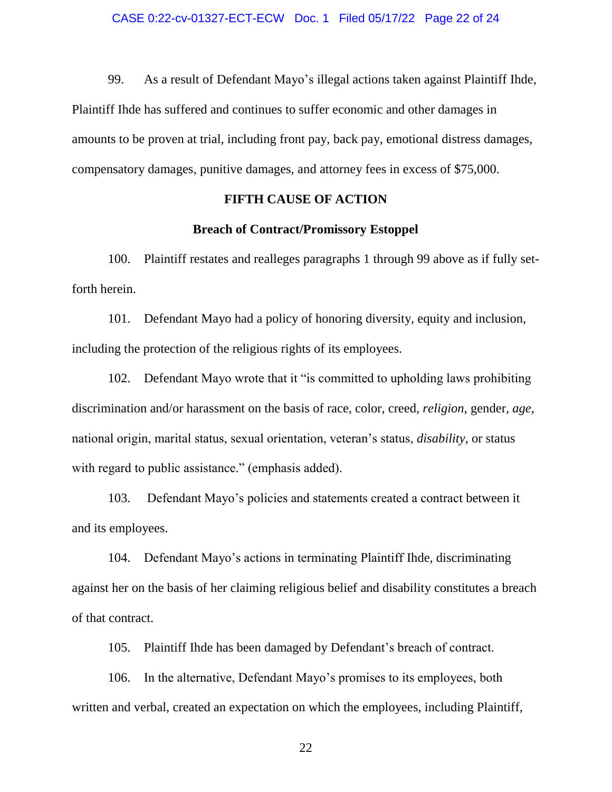99. As a result of Defendant Mayo's illegal actions taken against Plaintiff Ihde,

Plaintiff Ihde has suffered and continues to suffer economic and other damages in amounts to be proven at trial, including front pay, back pay, emotional distress damages, compensatory damages, punitive damages, and attorney fees in excess of \$75,000.

## **FIFTH CAUSE OF ACTION**

### **Breach of Contract/Promissory Estoppel**

100. Plaintiff restates and realleges paragraphs 1 through 99 above as if fully setforth herein.

101. Defendant Mayo had a policy of honoring diversity, equity and inclusion, including the protection of the religious rights of its employees.

102. Defendant Mayo wrote that it "is committed to upholding laws prohibiting discrimination and/or harassment on the basis of race, color, creed, *religion,* gender, *age*, national origin, marital status, sexual orientation, veteran's status, *disability*, or status with regard to public assistance." (emphasis added).

103. Defendant Mayo's policies and statements created a contract between it and its employees.

104. Defendant Mayo's actions in terminating Plaintiff Ihde, discriminating against her on the basis of her claiming religious belief and disability constitutes a breach of that contract.

105. Plaintiff Ihde has been damaged by Defendant's breach of contract.

106. In the alternative, Defendant Mayo's promises to its employees, both written and verbal, created an expectation on which the employees, including Plaintiff,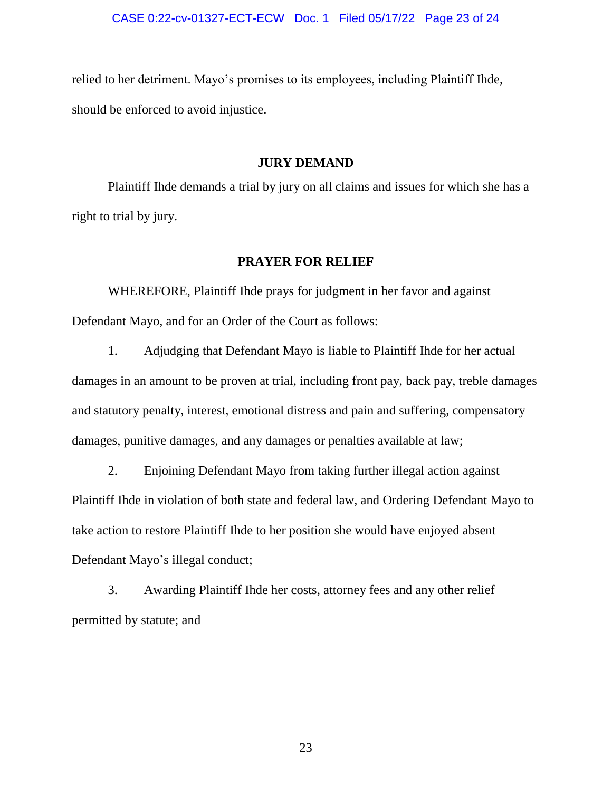relied to her detriment. Mayo's promises to its employees, including Plaintiff Ihde, should be enforced to avoid injustice.

### **JURY DEMAND**

Plaintiff Ihde demands a trial by jury on all claims and issues for which she has a right to trial by jury.

### **PRAYER FOR RELIEF**

WHEREFORE, Plaintiff Ihde prays for judgment in her favor and against Defendant Mayo, and for an Order of the Court as follows:

1. Adjudging that Defendant Mayo is liable to Plaintiff Ihde for her actual damages in an amount to be proven at trial, including front pay, back pay, treble damages and statutory penalty, interest, emotional distress and pain and suffering, compensatory damages, punitive damages, and any damages or penalties available at law;

2. Enjoining Defendant Mayo from taking further illegal action against Plaintiff Ihde in violation of both state and federal law, and Ordering Defendant Mayo to take action to restore Plaintiff Ihde to her position she would have enjoyed absent Defendant Mayo's illegal conduct;

3. Awarding Plaintiff Ihde her costs, attorney fees and any other relief permitted by statute; and